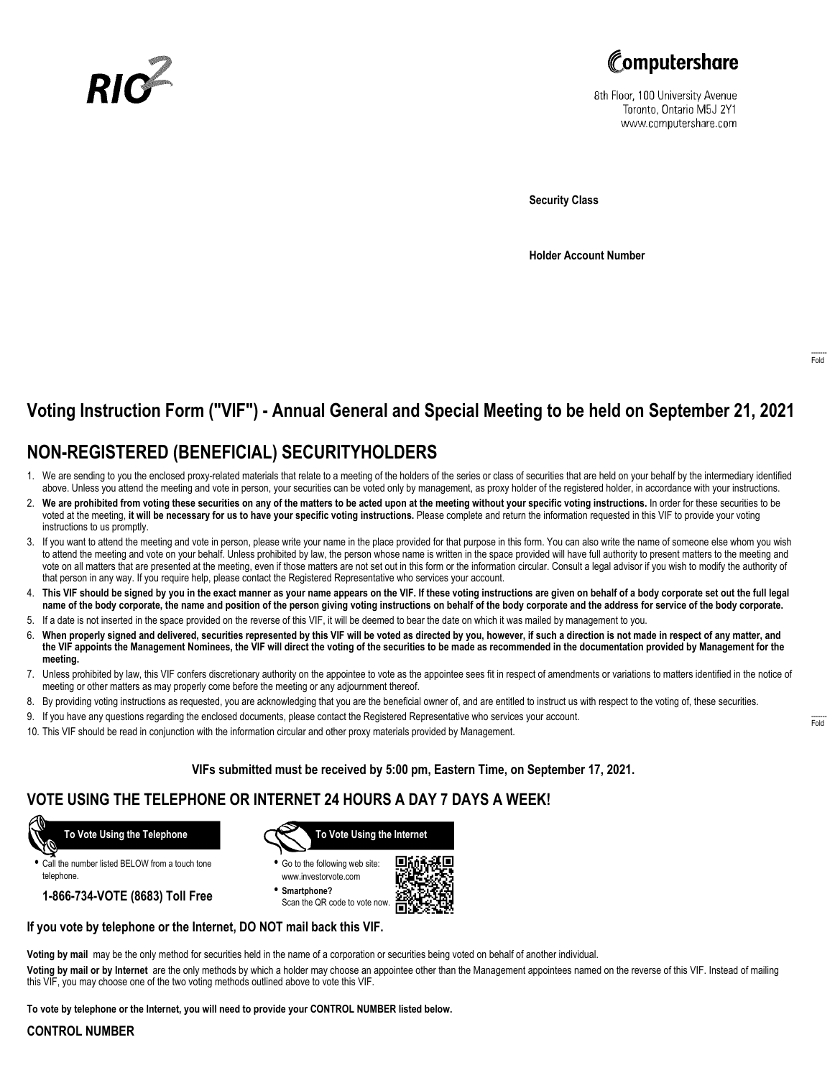



8th Floor, 100 University Avenue Toronto, Ontario M5J 2Y1 www.computershare.com

**Security Class**

**Holder Account Number**

# **Voting Instruction Form ("VIF") - Annual General and Special Meeting to be held on September 21, 2021**

## **NON-REGISTERED (BENEFICIAL) SECURITYHOLDERS**

- 1. We are sending to you the enclosed proxy-related materials that relate to a meeting of the holders of the series or class of securities that are held on your behalf by the intermediary identified above. Unless you attend the meeting and vote in person, your securities can be voted only by management, as proxy holder of the registered holder, in accordance with your instructions.
- 2. **We are prohibited from voting these securities on any of the matters to be acted upon at the meeting without your specific voting instructions.** In order for these securities to be voted at the meeting, **it will be necessary for us to have your specific voting instructions.** Please complete and return the information requested in this VIF to provide your voting instructions to us promptly.
- 3. If you want to attend the meeting and vote in person, please write your name in the place provided for that purpose in this form. You can also write the name of someone else whom you wish to attend the meeting and vote on your behalf. Unless prohibited by law, the person whose name is written in the space provided will have full authority to present matters to the meeting and vote on all matters that are presented at the meeting, even if those matters are not set out in this form or the information circular. Consult a legal advisor if you wish to modify the authority of that person in any way. If you require help, please contact the Registered Representative who services your account.
- 4. **This VIF should be signed by you in the exact manner as your name appears on the VIF. If these voting instructions are given on behalf of a body corporate set out the full legal name of the body corporate, the name and position of the person giving voting instructions on behalf of the body corporate and the address for service of the body corporate.**
- 5. If a date is not inserted in the space provided on the reverse of this VIF, it will be deemed to bear the date on which it was mailed by management to you.
- 6. **When properly signed and delivered, securities represented by this VIF will be voted as directed by you, however, if such a direction is not made in respect of any matter, and the VIF appoints the Management Nominees, the VIF will direct the voting of the securities to be made as recommended in the documentation provided by Management for the meeting.**
- 7. Unless prohibited by law, this VIF confers discretionary authority on the appointee to vote as the appointee sees fit in respect of amendments or variations to matters identified in the notice of meeting or other matters as may properly come before the meeting or any adjournment thereof.
- 8. By providing voting instructions as requested, you are acknowledging that you are the beneficial owner of, and are entitled to instruct us with respect to the voting of, these securities.
- 9. If you have any questions regarding the enclosed documents, please contact the Registered Representative who services your account.
- 10. This VIF should be read in conjunction with the information circular and other proxy materials provided by Management.

### **VIFs submitted must be received by 5:00 pm, Eastern Time, on September 17, 2021.**

## **VOTE USING THE TELEPHONE OR INTERNET 24 HOURS A DAY 7 DAYS A WEEK!**

 **To Vote Using the Telephone**

**•** Call the number listed BELOW from a touch tone telephone.

**1-866-734-VOTE (8683) Toll Free**



- **•** Go to the following web site: www.investorvote.com
- **• Smartphone?** Scan the QR code to vote now.



### **If you vote by telephone or the Internet, DO NOT mail back this VIF.**

**Voting by mail** may be the only method for securities held in the name of a corporation or securities being voted on behalf of another individual.

**Voting by mail or by Internet** are the only methods by which a holder may choose an appointee other than the Management appointees named on the reverse of this VIF. Instead of mailing this VIF, you may choose one of the two voting methods outlined above to vote this VIF.

**To vote by telephone or the Internet, you will need to provide your CONTROL NUMBER listed below.**

### **CONTROL NUMBER**